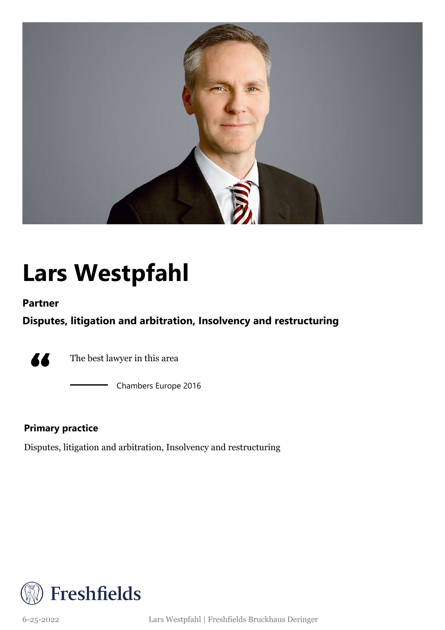

# **Lars Westpfahl**

### **Partner**

## **Disputes, litigation and arbitration, Insolvency and restructuring**



The best lawyer in this area

Chambers Europe 2016

### **Primary practice**

Disputes, litigation and arbitration, Insolvency and restructuring



6-25-2022 Lars Westpfahl | Freshfields Bruckhaus Deringer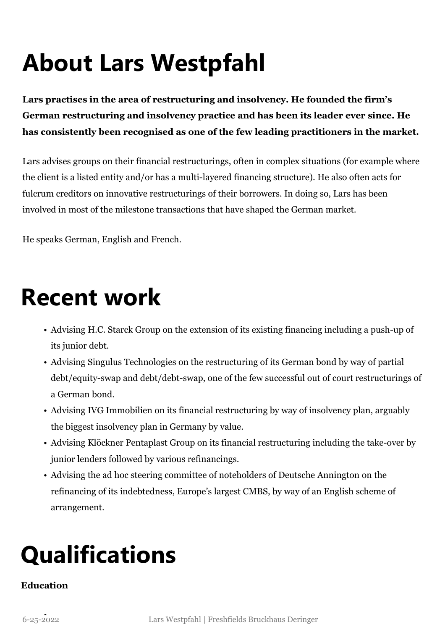# **About Lars Westpfahl**

**Lars practises in the area of restructuring and insolvency. He founded the firm's German restructuring and insolvency practice and has been its leader ever since. He has consistently been recognised as one of the few leading practitioners in the market.**

Lars advises groups on their financial restructurings, often in complex situations (for example where the client is a listed entity and/or has a multi-layered financing structure). He also often acts for fulcrum creditors on innovative restructurings of their borrowers. In doing so, Lars has been involved in most of the milestone transactions that have shaped the German market.

He speaks German, English and French.

# **Recent work**

- Advising H.C. Starck Group on the extension of its existing financing including a push-up of its junior debt.
- Advising Singulus Technologies on the restructuring of its German bond by way of partial debt/equity-swap and debt/debt-swap, one of the few successful out of court restructurings of a German bond.
- Advising IVG Immobilien on its financial restructuring by way of insolvency plan, arguably the biggest insolvency plan in Germany by value.
- Advising Klöckner Pentaplast Group on its financial restructuring including the take-over by junior lenders followed by various refinancings.
- Advising the ad hoc steering committee of noteholders of Deutsche Annington on the refinancing of its indebtedness, Europe's largest CMBS, by way of an English scheme of arrangement.

# **Qualifications**

## **Education**